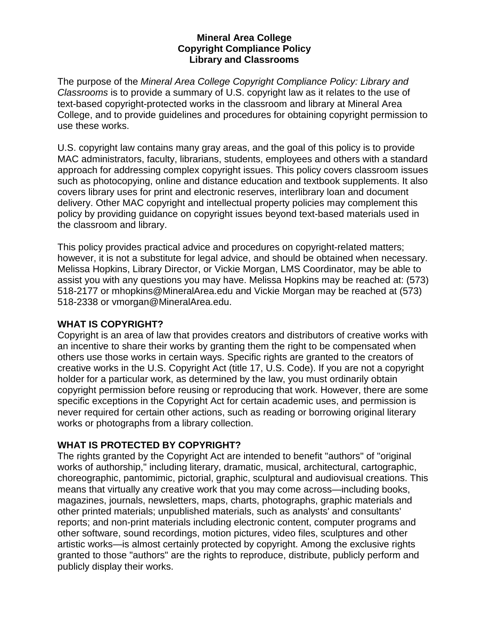#### **Mineral Area College Copyright Compliance Policy Library and Classrooms**

The purpose of the *Mineral Area College Copyright Compliance Policy: Library and Classrooms* is to provide a summary of U.S. copyright law as it relates to the use of text-based copyright-protected works in the classroom and library at Mineral Area College, and to provide guidelines and procedures for obtaining copyright permission to use these works.

U.S. copyright law contains many gray areas, and the goal of this policy is to provide MAC administrators, faculty, librarians, students, employees and others with a standard approach for addressing complex copyright issues. This policy covers classroom issues such as photocopying, online and distance education and textbook supplements. It also covers library uses for print and electronic reserves, interlibrary loan and document delivery. Other MAC copyright and intellectual property policies may complement this policy by providing guidance on copyright issues beyond text-based materials used in the classroom and library.

This policy provides practical advice and procedures on copyright-related matters; however, it is not a substitute for legal advice, and should be obtained when necessary. Melissa Hopkins, Library Director, or Vickie Morgan, LMS Coordinator, may be able to assist you with any questions you may have. Melissa Hopkins may be reached at: (573) 518-2177 or mhopkins@MineralArea.edu and Vickie Morgan may be reached at (573) 518-2338 or vmorgan@MineralArea.edu.

### **WHAT IS COPYRIGHT?**

Copyright is an area of law that provides creators and distributors of creative works with an incentive to share their works by granting them the right to be compensated when others use those works in certain ways. Specific rights are granted to the creators of creative works in the U.S. Copyright Act (title 17, U.S. Code). If you are not a copyright holder for a particular work, as determined by the law, you must ordinarily obtain copyright permission before reusing or reproducing that work. However, there are some specific exceptions in the Copyright Act for certain academic uses, and permission is never required for certain other actions, such as reading or borrowing original literary works or photographs from a library collection.

# **WHAT IS PROTECTED BY COPYRIGHT?**

The rights granted by the Copyright Act are intended to benefit "authors" of "original works of authorship," including literary, dramatic, musical, architectural, cartographic, choreographic, pantomimic, pictorial, graphic, sculptural and audiovisual creations. This means that virtually any creative work that you may come across—including books, magazines, journals, newsletters, maps, charts, photographs, graphic materials and other printed materials; unpublished materials, such as analysts' and consultants' reports; and non-print materials including electronic content, computer programs and other software, sound recordings, motion pictures, video files, sculptures and other artistic works—is almost certainly protected by copyright. Among the exclusive rights granted to those "authors" are the rights to reproduce, distribute, publicly perform and publicly display their works.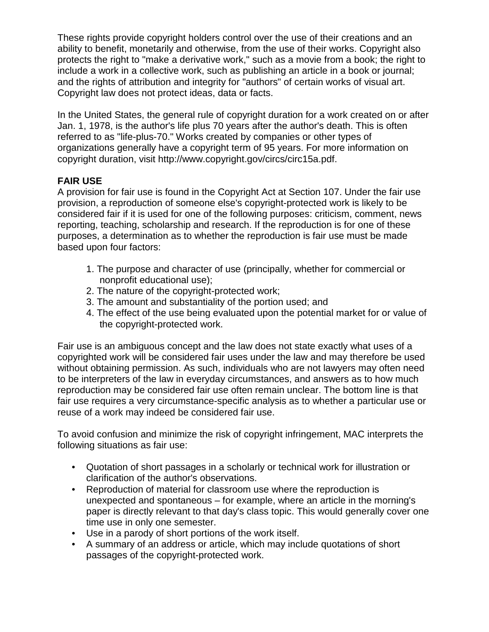These rights provide copyright holders control over the use of their creations and an ability to benefit, monetarily and otherwise, from the use of their works. Copyright also protects the right to "make a derivative work," such as a movie from a book; the right to include a work in a collective work, such as publishing an article in a book or journal; and the rights of attribution and integrity for "authors" of certain works of visual art. Copyright law does not protect ideas, data or facts.

In the United States, the general rule of copyright duration for a work created on or after Jan. 1, 1978, is the author's life plus 70 years after the author's death. This is often referred to as "life-plus-70." Works created by companies or other types of organizations generally have a copyright term of 95 years. For more information on copyright duration, visit http://www.copyright.gov/circs/circ15a.pdf.

# **FAIR USE**

A provision for fair use is found in the Copyright Act at Section 107. Under the fair use provision, a reproduction of someone else's copyright-protected work is likely to be considered fair if it is used for one of the following purposes: criticism, comment, news reporting, teaching, scholarship and research. If the reproduction is for one of these purposes, a determination as to whether the reproduction is fair use must be made based upon four factors:

- 1. The purpose and character of use (principally, whether for commercial or nonprofit educational use);
- 2. The nature of the copyright-protected work;
- 3. The amount and substantiality of the portion used; and
- 4. The effect of the use being evaluated upon the potential market for or value of the copyright-protected work.

Fair use is an ambiguous concept and the law does not state exactly what uses of a copyrighted work will be considered fair uses under the law and may therefore be used without obtaining permission. As such, individuals who are not lawyers may often need to be interpreters of the law in everyday circumstances, and answers as to how much reproduction may be considered fair use often remain unclear. The bottom line is that fair use requires a very circumstance-specific analysis as to whether a particular use or reuse of a work may indeed be considered fair use.

To avoid confusion and minimize the risk of copyright infringement, MAC interprets the following situations as fair use:

- Quotation of short passages in a scholarly or technical work for illustration or clarification of the author's observations.
- Reproduction of material for classroom use where the reproduction is unexpected and spontaneous – for example, where an article in the morning's paper is directly relevant to that day's class topic. This would generally cover one time use in only one semester.
- Use in a parody of short portions of the work itself.
- A summary of an address or article, which may include quotations of short passages of the copyright-protected work.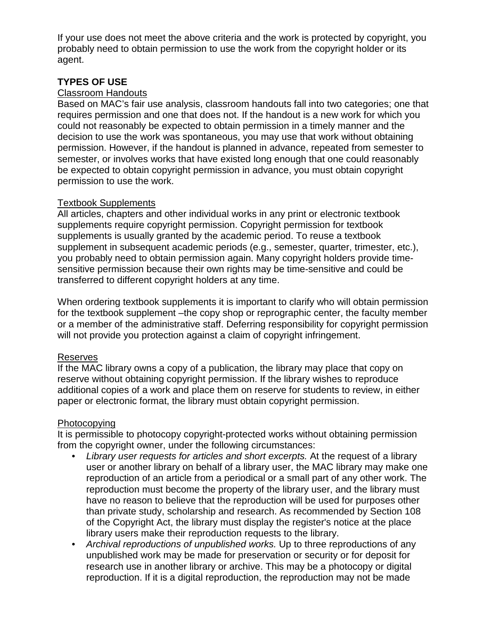If your use does not meet the above criteria and the work is protected by copyright, you probably need to obtain permission to use the work from the copyright holder or its agent.

## **TYPES OF USE**

#### Classroom Handouts

Based on MAC's fair use analysis, classroom handouts fall into two categories; one that requires permission and one that does not. If the handout is a new work for which you could not reasonably be expected to obtain permission in a timely manner and the decision to use the work was spontaneous, you may use that work without obtaining permission. However, if the handout is planned in advance, repeated from semester to semester, or involves works that have existed long enough that one could reasonably be expected to obtain copyright permission in advance, you must obtain copyright permission to use the work.

### Textbook Supplements

All articles, chapters and other individual works in any print or electronic textbook supplements require copyright permission. Copyright permission for textbook supplements is usually granted by the academic period. To reuse a textbook supplement in subsequent academic periods (e.g., semester, quarter, trimester, etc.), you probably need to obtain permission again. Many copyright holders provide timesensitive permission because their own rights may be time-sensitive and could be transferred to different copyright holders at any time.

When ordering textbook supplements it is important to clarify who will obtain permission for the textbook supplement –the copy shop or reprographic center, the faculty member or a member of the administrative staff. Deferring responsibility for copyright permission will not provide you protection against a claim of copyright infringement.

### Reserves

If the MAC library owns a copy of a publication, the library may place that copy on reserve without obtaining copyright permission. If the library wishes to reproduce additional copies of a work and place them on reserve for students to review, in either paper or electronic format, the library must obtain copyright permission.

#### Photocopying

It is permissible to photocopy copyright-protected works without obtaining permission from the copyright owner, under the following circumstances:

- *Library user requests for articles and short excerpts.* At the request of a library user or another library on behalf of a library user, the MAC library may make one reproduction of an article from a periodical or a small part of any other work. The reproduction must become the property of the library user, and the library must have no reason to believe that the reproduction will be used for purposes other than private study, scholarship and research. As recommended by Section 108 of the Copyright Act, the library must display the register's notice at the place library users make their reproduction requests to the library.
- *Archival reproductions of unpublished works.* Up to three reproductions of any unpublished work may be made for preservation or security or for deposit for research use in another library or archive. This may be a photocopy or digital reproduction. If it is a digital reproduction, the reproduction may not be made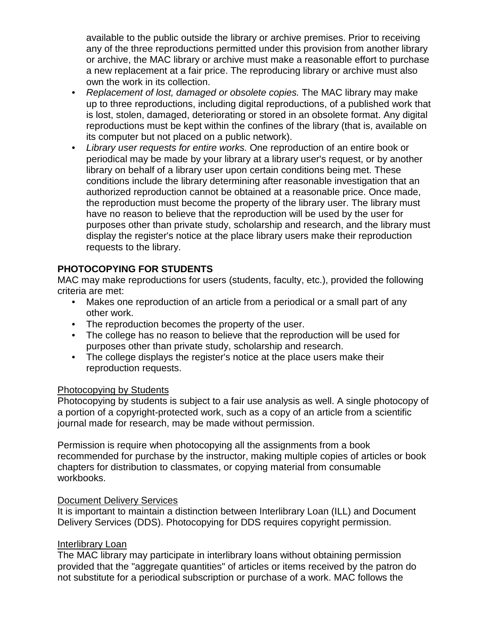available to the public outside the library or archive premises. Prior to receiving any of the three reproductions permitted under this provision from another library or archive, the MAC library or archive must make a reasonable effort to purchase a new replacement at a fair price. The reproducing library or archive must also own the work in its collection.

- *Replacement of lost, damaged or obsolete copies.* The MAC library may make up to three reproductions, including digital reproductions, of a published work that is lost, stolen, damaged, deteriorating or stored in an obsolete format. Any digital reproductions must be kept within the confines of the library (that is, available on its computer but not placed on a public network).
- *Library user requests for entire works.* One reproduction of an entire book or periodical may be made by your library at a library user's request, or by another library on behalf of a library user upon certain conditions being met. These conditions include the library determining after reasonable investigation that an authorized reproduction cannot be obtained at a reasonable price. Once made, the reproduction must become the property of the library user. The library must have no reason to believe that the reproduction will be used by the user for purposes other than private study, scholarship and research, and the library must display the register's notice at the place library users make their reproduction requests to the library.

# **PHOTOCOPYING FOR STUDENTS**

MAC may make reproductions for users (students, faculty, etc.), provided the following criteria are met:

- Makes one reproduction of an article from a periodical or a small part of any other work.
- The reproduction becomes the property of the user.
- The college has no reason to believe that the reproduction will be used for purposes other than private study, scholarship and research.
- The college displays the register's notice at the place users make their reproduction requests.

### Photocopying by Students

Photocopying by students is subject to a fair use analysis as well. A single photocopy of a portion of a copyright-protected work, such as a copy of an article from a scientific journal made for research, may be made without permission.

Permission is require when photocopying all the assignments from a book recommended for purchase by the instructor, making multiple copies of articles or book chapters for distribution to classmates, or copying material from consumable workbooks.

### Document Delivery Services

It is important to maintain a distinction between Interlibrary Loan (ILL) and Document Delivery Services (DDS). Photocopying for DDS requires copyright permission.

### Interlibrary Loan

The MAC library may participate in interlibrary loans without obtaining permission provided that the "aggregate quantities" of articles or items received by the patron do not substitute for a periodical subscription or purchase of a work. MAC follows the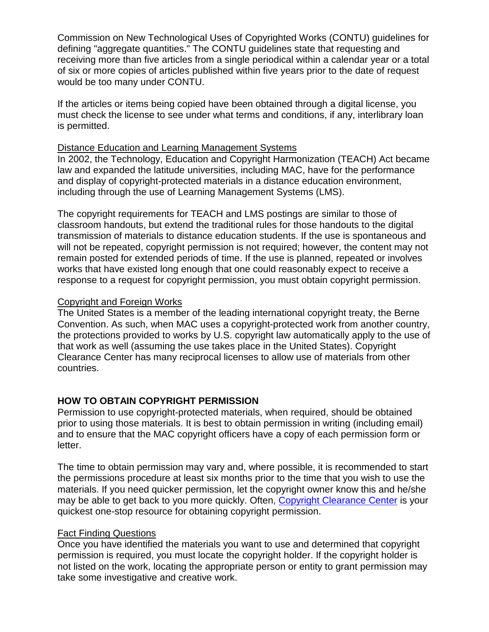Commission on New Technological Uses of Copyrighted Works (CONTU) guidelines for defining "aggregate quantities." The CONTU guidelines state that requesting and receiving more than five articles from a single periodical within a calendar year or a total of six or more copies of articles published within five years prior to the date of request would be too many under CONTU.

If the articles or items being copied have been obtained through a digital license, you must check the license to see under what terms and conditions, if any, interlibrary loan is permitted.

#### Distance Education and Learning Management Systems

In 2002, the Technology, Education and Copyright Harmonization (TEACH) Act became law and expanded the latitude universities, including MAC, have for the performance and display of copyright-protected materials in a distance education environment, including through the use of Learning Management Systems (LMS).

The copyright requirements for TEACH and LMS postings are similar to those of classroom handouts, but extend the traditional rules for those handouts to the digital transmission of materials to distance education students. If the use is spontaneous and will not be repeated, copyright permission is not required; however, the content may not remain posted for extended periods of time. If the use is planned, repeated or involves works that have existed long enough that one could reasonably expect to receive a response to a request for copyright permission, you must obtain copyright permission.

#### Copyright and Foreign Works

The United States is a member of the leading international copyright treaty, the Berne Convention. As such, when MAC uses a copyright-protected work from another country, the protections provided to works by U.S. copyright law automatically apply to the use of that work as well (assuming the use takes place in the United States). Copyright Clearance Center has many reciprocal licenses to allow use of materials from other countries.

### **HOW TO OBTAIN COPYRIGHT PERMISSION**

Permission to use copyright-protected materials, when required, should be obtained prior to using those materials. It is best to obtain permission in writing (including email) and to ensure that the MAC copyright officers have a copy of each permission form or letter.

The time to obtain permission may vary and, where possible, it is recommended to start the permissions procedure at least six months prior to the time that you wish to use the materials. If you need quicker permission, let the copyright owner know this and he/she may be able to get back to you more quickly. Often, [Copyright Clearance Center](http://www.copyright.com/) is your quickest one-stop resource for obtaining copyright permission.

#### Fact Finding Questions

Once you have identified the materials you want to use and determined that copyright permission is required, you must locate the copyright holder. If the copyright holder is not listed on the work, locating the appropriate person or entity to grant permission may take some investigative and creative work.